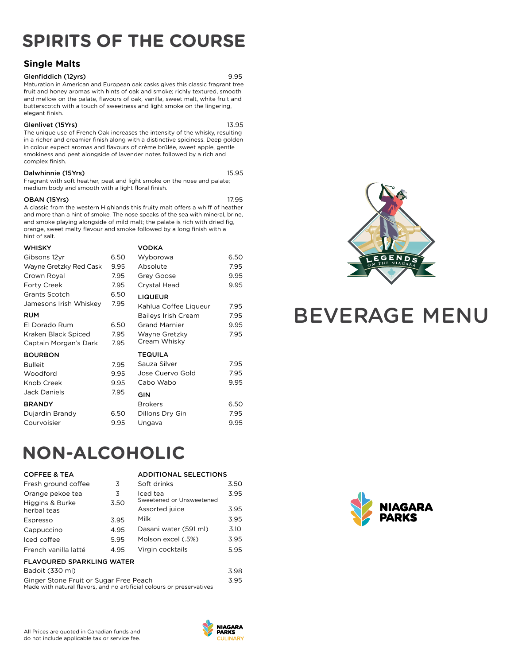## **SPIRITS OF THE COURSE**

### **Single Malts**

#### Glenfiddich (12yrs) 9.95

Maturation in American and European oak casks gives this classic fragrant tree fruit and honey aromas with hints of oak and smoke; richly textured, smooth and mellow on the palate, flavours of oak, vanilla, sweet malt, white fruit and butterscotch with a touch of sweetness and light smoke on the lingering, elegant finish.

#### Glenlivet (15Yrs) 13.95

The unique use of French Oak increases the intensity of the whisky, resulting in a richer and creamier finish along with a distinctive spiciness. Deep golden in colour expect aromas and flavours of crème brûlée, sweet apple, gentle smokiness and peat alongside of lavender notes followed by a rich and complex finish.

#### Dalwhinnie (15Yrs) 15.95

Fragrant with soft heather, peat and light smoke on the nose and palate; medium body and smooth with a light floral finish.

#### **OBAN (15Yrs)** 17.95

A classic from the western Highlands this fruity malt offers a whiff of heather and more than a hint of smoke. The nose speaks of the sea with mineral, brine, and smoke playing alongside of mild malt; the palate is rich with dried fig, orange, sweet malty flavour and smoke followed by a long finish with a hint of salt.

| <b>WHISKY</b>          |      | <b>VODKA</b>          |      |
|------------------------|------|-----------------------|------|
| Gibsons 12yr           | 6.50 | Wyborowa              | 6.50 |
| Wayne Gretzky Red Cask | 9.95 | Absolute              | 7.95 |
| Crown Royal            | 7.95 | Grey Goose            | 9.95 |
| Forty Creek            | 7.95 | Crystal Head          | 9.95 |
| Grants Scotch          | 6.50 | <b>LIQUEUR</b>        |      |
| Jamesons Irish Whiskey | 7.95 | Kahlua Coffee Liqueur | 7.95 |
| <b>RUM</b>             |      | Baileys Irish Cream   | 7.95 |
| El Dorado Rum          | 6.50 | <b>Grand Marnier</b>  | 9.95 |
| Kraken Black Spiced    | 7.95 | Wayne Gretzky         | 7.95 |
| Captain Morgan's Dark  | 7.95 | Cream Whisky          |      |
| <b>BOURBON</b>         |      | <b>TEQUILA</b>        |      |
| <b>Bulleit</b>         | 7.95 | Sauza Silver          | 7.95 |
| Woodford               | 9.95 | Jose Cuervo Gold      | 7.95 |
| Knob Creek             | 9.95 | Cabo Wabo             | 9.95 |
| <b>Jack Daniels</b>    | 7.95 | <b>GIN</b>            |      |
| <b>BRANDY</b>          |      | <b>Brokers</b>        | 6.50 |
| Dujardin Brandy        | 6.50 | Dillons Dry Gin       | 7.95 |
| Courvoisier            | 9.95 | Ungava                | 9.95 |



# BEVERAGE MENU

## **NON-ALCOHOLIC**

| <b>COFFEE &amp; TEA</b>                                                                                         |      | <b>ADDITIONAL SELECTIONS</b>         |      |
|-----------------------------------------------------------------------------------------------------------------|------|--------------------------------------|------|
| Fresh ground coffee                                                                                             | 3    | Soft drinks                          | 3.50 |
| Orange pekoe tea                                                                                                | 3    | Iced tea<br>Sweetened or Unsweetened | 3.95 |
| Higgins & Burke<br>herbal teas                                                                                  | 3.50 | Assorted juice                       | 3.95 |
| Espresso                                                                                                        | 3.95 | Milk                                 | 3.95 |
| Cappuccino                                                                                                      | 4.95 | Dasani water (591 ml)                | 3.10 |
| Iced coffee                                                                                                     | 5.95 | Molson excel (.5%)                   | 3.95 |
| French vanilla latté                                                                                            | 4.95 | Virgin cocktails                     | 5.95 |
| <b>FLAVOURED SPARKLING WATER</b>                                                                                |      |                                      |      |
| Badoit (330 ml)                                                                                                 |      |                                      | 3.98 |
| Ginger Stone Fruit or Sugar Free Peach<br>Made with natural flavors, and no artificial colours or preservatives |      |                                      | 3.95 |